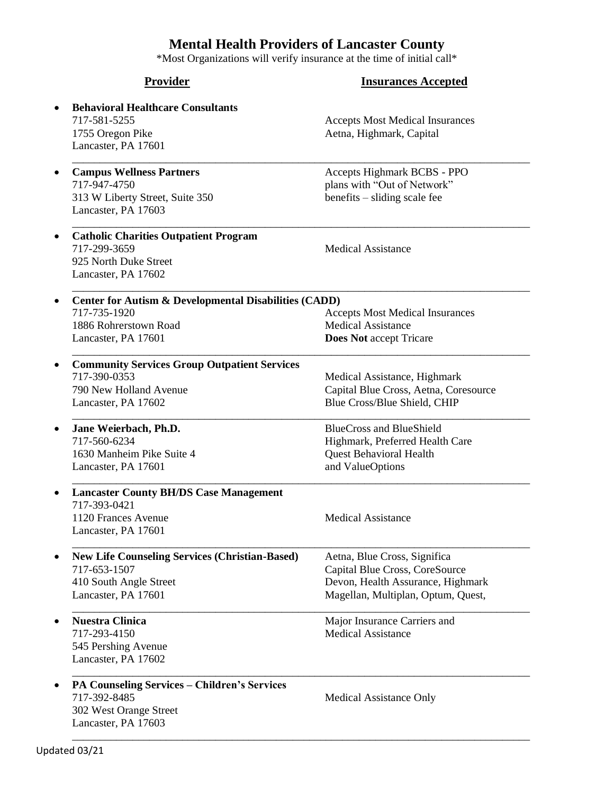## **Mental Health Providers of Lancaster County**

\*Most Organizations will verify insurance at the time of initial call\*

| <b>Provider</b>                                                  | <b>Insurances Accepted</b>             |
|------------------------------------------------------------------|----------------------------------------|
| <b>Behavioral Healthcare Consultants</b>                         |                                        |
| 717-581-5255                                                     | <b>Accepts Most Medical Insurances</b> |
| 1755 Oregon Pike                                                 | Aetna, Highmark, Capital               |
| Lancaster, PA 17601                                              |                                        |
| <b>Campus Wellness Partners</b>                                  | Accepts Highmark BCBS - PPO            |
| 717-947-4750                                                     | plans with "Out of Network"            |
| 313 W Liberty Street, Suite 350<br>Lancaster, PA 17603           | benefits - sliding scale fee           |
| <b>Catholic Charities Outpatient Program</b>                     |                                        |
| 717-299-3659                                                     | <b>Medical Assistance</b>              |
| 925 North Duke Street                                            |                                        |
| Lancaster, PA 17602                                              |                                        |
| <b>Center for Autism &amp; Developmental Disabilities (CADD)</b> |                                        |
| 717-735-1920                                                     | <b>Accepts Most Medical Insurances</b> |
| 1886 Rohrerstown Road                                            | <b>Medical Assistance</b>              |
| Lancaster, PA 17601                                              | <b>Does Not accept Tricare</b>         |
| <b>Community Services Group Outpatient Services</b>              |                                        |
| 717-390-0353                                                     | Medical Assistance, Highmark           |
| 790 New Holland Avenue                                           | Capital Blue Cross, Aetna, Coresource  |
| Lancaster, PA 17602                                              | Blue Cross/Blue Shield, CHIP           |
| Jane Weierbach, Ph.D.                                            | <b>BlueCross and BlueShield</b>        |
| 717-560-6234                                                     | Highmark, Preferred Health Care        |
| 1630 Manheim Pike Suite 4                                        | <b>Quest Behavioral Health</b>         |
| Lancaster, PA 17601                                              | and ValueOptions                       |
| <b>Lancaster County BH/DS Case Management</b><br>717-393-0421    |                                        |
| 1120 Frances Avenue                                              | <b>Medical Assistance</b>              |
| Lancaster, PA 17601                                              |                                        |
| <b>New Life Counseling Services (Christian-Based)</b>            | Aetna, Blue Cross, Significa           |
| 717-653-1507                                                     | Capital Blue Cross, CoreSource         |
| 410 South Angle Street                                           | Devon, Health Assurance, Highmark      |
| Lancaster, PA 17601                                              | Magellan, Multiplan, Optum, Quest,     |
| <b>Nuestra Clinica</b>                                           | Major Insurance Carriers and           |
| 717-293-4150                                                     | <b>Medical Assistance</b>              |
| 545 Pershing Avenue                                              |                                        |
| Lancaster, PA 17602                                              |                                        |
| PA Counseling Services - Children's Services                     |                                        |
| 717-392-8485                                                     | Medical Assistance Only                |
| 302 West Orange Street                                           |                                        |
| Lancaster, PA 17603                                              |                                        |